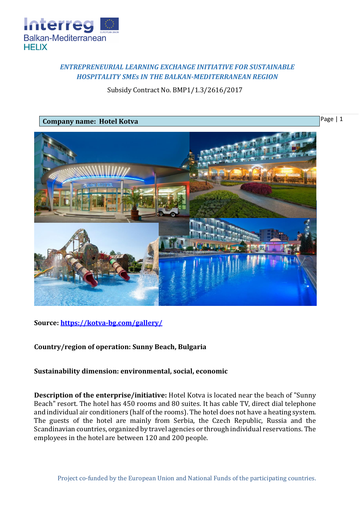

## *ENTREPRENEURIAL LEARNING EXCHANGE INITIATIVE FOR SUSTAINABLE HOSPITALITY SMEs IN THE BALKAN-MEDITERRANEAN REGION*

Subsidy Contract No. BMP1/1.3/2616/2017



**Source:<https://kotva-bg.com/gallery/>**

**Country/region of operation: Sunny Beach, Bulgaria**

**Sustainability dimension: environmental, social, economic**

**Description of the enterprise/initiative:** Hotel Kotva is located near the beach of "Sunny Beach" resort. The hotel has 450 rooms and 80 suites. It has cable TV, direct dial telephone and individual air conditioners (half of the rooms). The hotel does not have a heating system. The guests of the hotel are mainly from Serbia, the Czech Republic, Russia and the Scandinavian countries, organized by travel agencies or through individual reservations. The employees in the hotel are between 120 and 200 people.